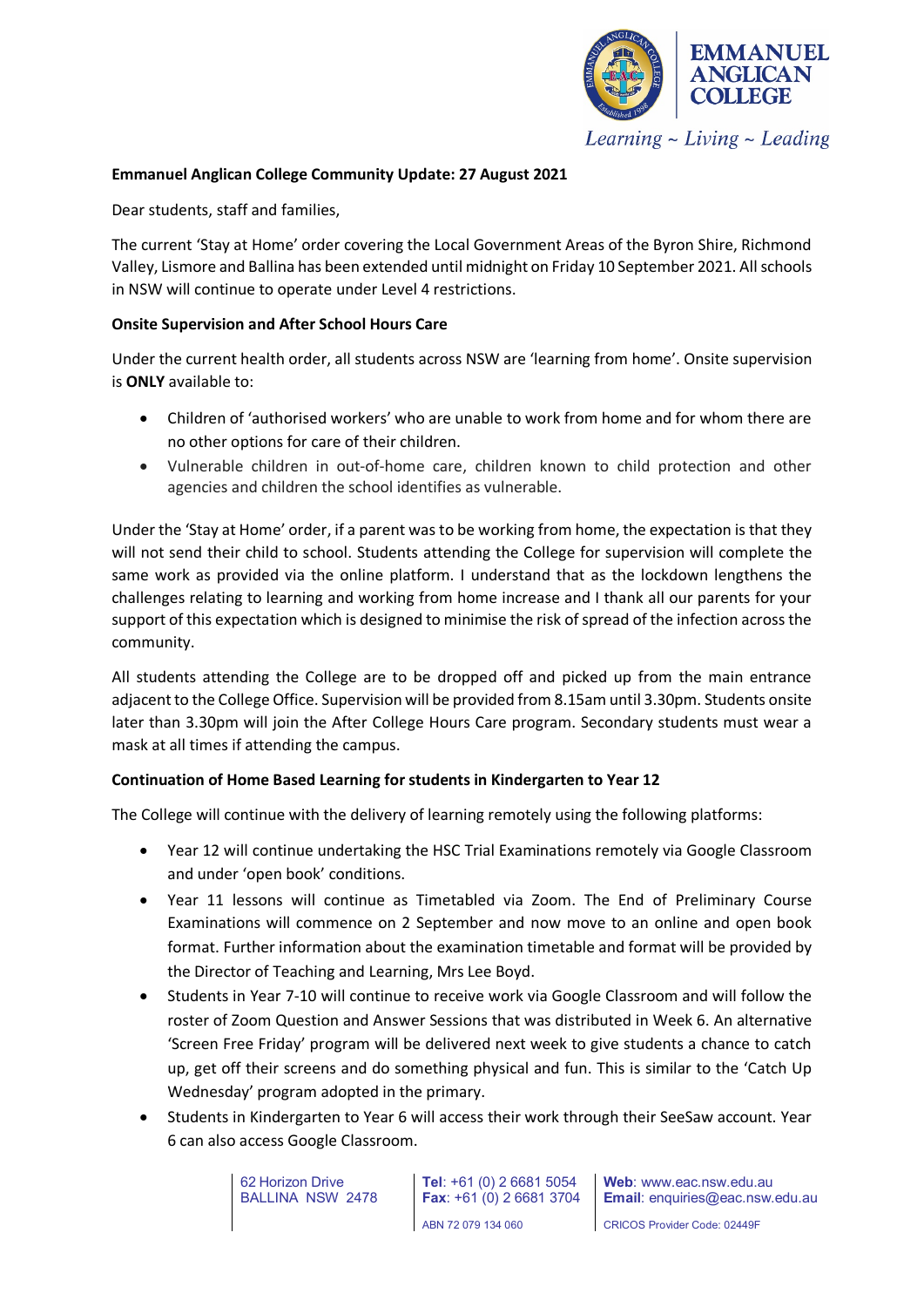

**Emmanuel Anglican College Community Update: 27 August 2021**

Dear students, staff and families,

The current 'Stay at Home' order covering the Local Government Areas of the Byron Shire, Richmond Valley, Lismore and Ballina has been extended until midnight on Friday 10 September 2021. All schools in NSW will continue to operate under Level 4 restrictions.

#### **Onsite Supervision and After School Hours Care**

Under the current health order, all students across NSW are 'learning from home'. Onsite supervision is **ONLY** available to:

- Children of 'authorised workers' who are unable to work from home and for whom there are no other options for care of their children.
- Vulnerable children in out-of-home care, children known to child protection and other agencies and children the school identifies as vulnerable.

Under the 'Stay at Home' order, if a parent was to be working from home, the expectation is that they will not send their child to school. Students attending the College for supervision will complete the same work as provided via the online platform. I understand that as the lockdown lengthens the challenges relating to learning and working from home increase and I thank all our parents for your support of this expectation which is designed to minimise the risk of spread of the infection across the community.

All students attending the College are to be dropped off and picked up from the main entrance adjacent to the College Office. Supervision will be provided from 8.15am until 3.30pm. Students onsite later than 3.30pm will join the After College Hours Care program. Secondary students must wear a mask at all times if attending the campus.

## **Continuation of Home Based Learning for students in Kindergarten to Year 12**

The College will continue with the delivery of learning remotely using the following platforms:

- Year 12 will continue undertaking the HSC Trial Examinations remotely via Google Classroom and under 'open book' conditions.
- Year 11 lessons will continue as Timetabled via Zoom. The End of Preliminary Course Examinations will commence on 2 September and now move to an online and open book format. Further information about the examination timetable and format will be provided by the Director of Teaching and Learning, Mrs Lee Boyd.
- Students in Year 7-10 will continue to receive work via Google Classroom and will follow the roster of Zoom Question and Answer Sessions that was distributed in Week 6. An alternative 'Screen Free Friday' program will be delivered next week to give students a chance to catch up, get off their screens and do something physical and fun. This is similar to the 'Catch Up Wednesday' program adopted in the primary.
- Students in Kindergarten to Year 6 will access their work through their SeeSaw account. Year 6 can also access Google Classroom.

62 Horizon Drive BALLINA NSW 2478 **Tel**: +61 (0) 2 6681 5054 **Fax**: +61 (0) 2 6681 3704 ABN 72 079 134 060

**Web**: www.eac.nsw.edu.au **Email**: enquiries@eac.nsw.edu.au